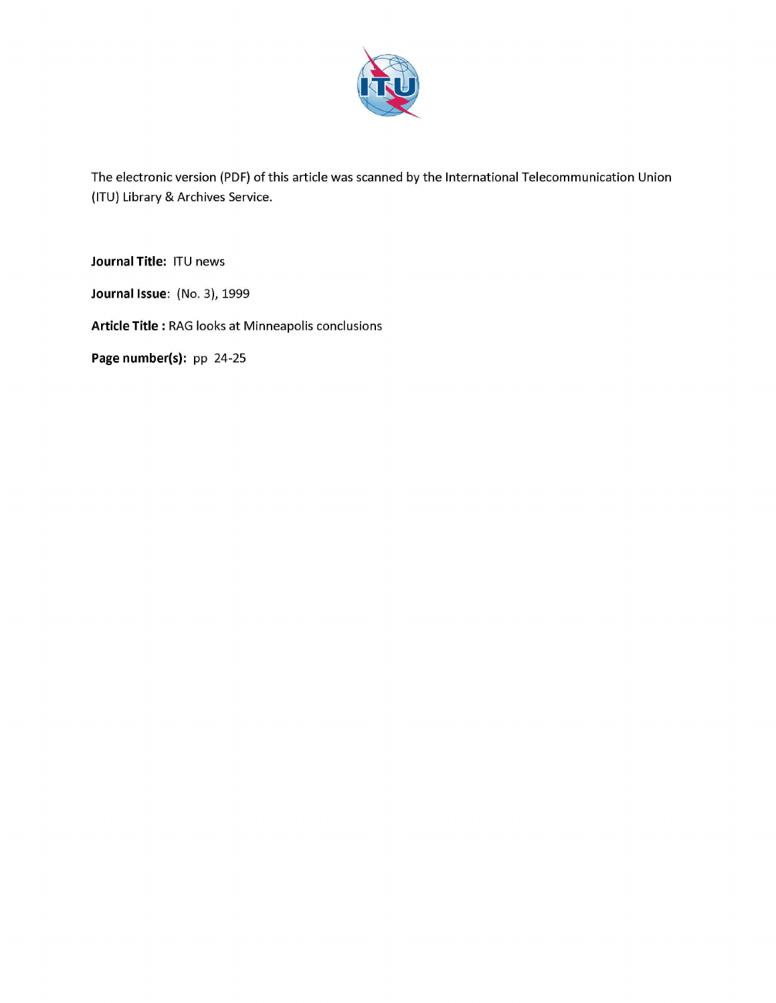

The electronic version (PDF) of this article was scanned by the International Telecommunication Union (ITU) Library & Archives Service.

**Journal Title:** ITU news

**Journal Issue:** (No. 3), 1999

**Article Title** : RAG looks at Minneapolis conclusions

**Page number(s):** pp 24-25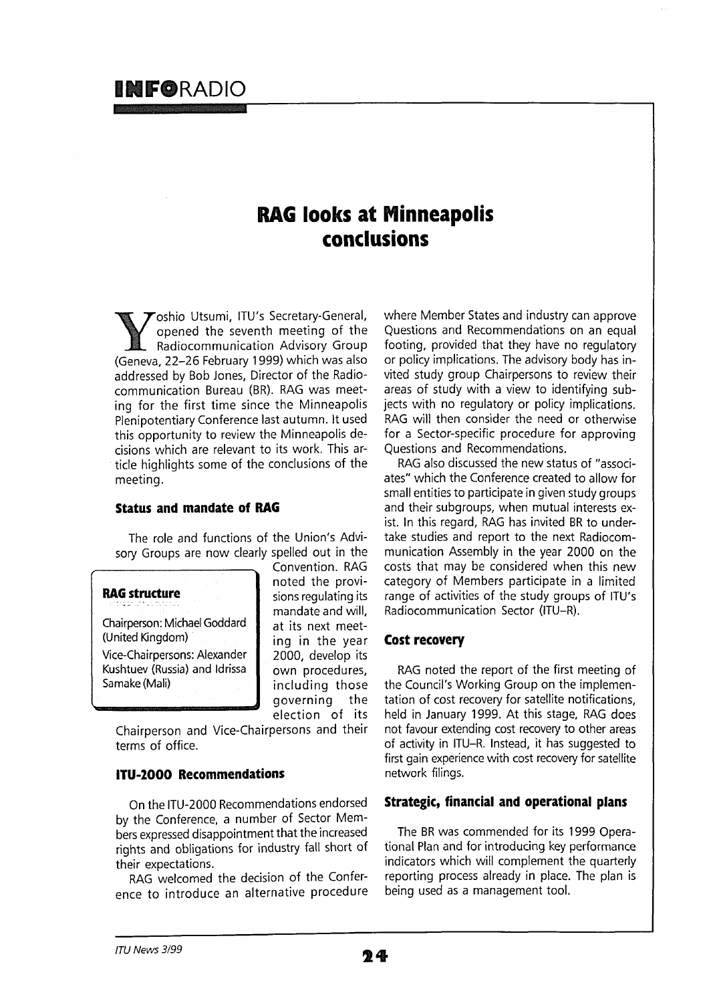# **1NFORADIO**

# **RAG looks at Minneapolis conclusions**

Toshio Utsumi, ITU's Secretary-General, opened the seventh meeting of the Radiocommunication Advisory Group (Geneva, 22-26 February 1999) which was also addressed by Bob Jones, Director of the Radiocommunication Bureau (BR). RAG was meeting for the first time since the Minneapolis Plenipotentiary Conference last autumn, lt used this opportunity to review the Minneapolis decisions which are relevant to its work. This article highlights some of the conclusions of the meeting.

# **Status and mandate of RAG**

The role and functions of the Union's Advisory Groups are now clearly spelled out in the

# **RAG structure**

Chairperson: Michael Goddard (United Kingdom) Vice-Chairpersons: Alexander Kushtuev (Russia) and Idrissa Samake (Mali)

Convention. RAG noted the provisions regulating its mandate and will, at its next meeting in the year 2000, develop its own procedures, including those governing the election of its

Chairperson and Vice-Chairpersons and their terms of office.

# **ITU-2000 Recommendations**

On the ITU-2000 Recommendations endorsed by the Conference, a number of Sector Members expressed disappointment that the increased rights and obligations for industry fall short of their expectations.

RAG welcomed the decision of the Conference to introduce an alternative procedure where Member States and industry can approve Questions and Recommendations on an equal footing, provided that they have no regulatory or policy implications. The advisory body has invited study group Chairpersons to review their areas of study with a view to identifying subjects with no regulatory or policy implications. RAG will then consider the need or otherwise for a Sector-specific procedure for approving Questions and Recommendations.

RAG also discussed the new status of "associates" which the Conference created to allow for small entities to participate in given study groups and their subgroups, when mutual interests exist. In this regard, RAG has invited BR to undertake studies and report to the next Radiocommunication Assembly in the year 2000 on the costs that may be considered when this new category of Members participate in a limited range of activities of the study groups of ITU's Radiocommunication Sector (ITU-R).

# **Cost recovery**

RAG noted the report of the first meeting of the Council's Working Group on the implementation of cost recovery for satellite notifications, held in January 1999. At this stage, RAG does not favour extending cost recovery to other areas of activity in ITU-R. Instead, it has suggested to first gain experience with cost recovery for satellite network filings.

# **Strategic, financial and operational plans**

The BR was commended for its 1999 Operational Plan and for introducing key performance indicators which will complement the quarterly reporting process already in place. The plan is being used as a management tool.